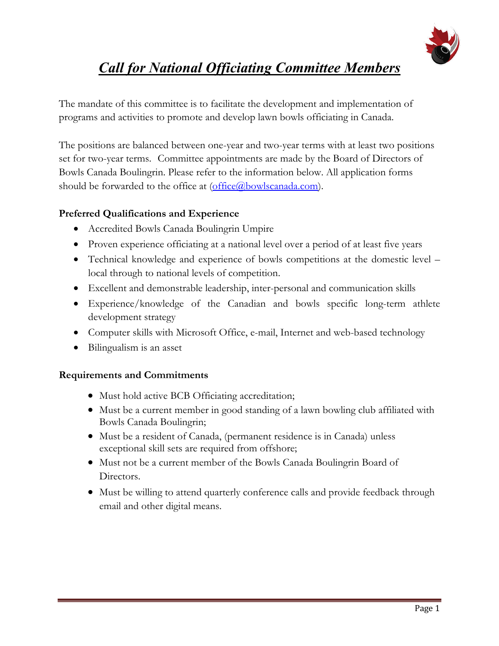

# *Call for National Officiating Committee Members*

The mandate of this committee is to facilitate the development and implementation of programs and activities to promote and develop lawn bowls officiating in Canada.

The positions are balanced between one-year and two-year terms with at least two positions set for two-year terms. Committee appointments are made by the Board of Directors of Bowls Canada Boulingrin. Please refer to the information below. All application forms should be forwarded to the office at  $(\text{office}(\overline{a})$ bowlscanada.com).

#### **Preferred Qualifications and Experience**

- Accredited Bowls Canada Boulingrin Umpire
- Proven experience officiating at a national level over a period of at least five years
- Technical knowledge and experience of bowls competitions at the domestic level local through to national levels of competition.
- Excellent and demonstrable leadership, inter-personal and communication skills
- Experience/knowledge of the Canadian and bowls specific long-term athlete development strategy
- Computer skills with Microsoft Office, e-mail, Internet and web-based technology
- Bilingualism is an asset

#### **Requirements and Commitments**

- Must hold active BCB Officiating accreditation;
- Must be a current member in good standing of a lawn bowling club affiliated with Bowls Canada Boulingrin;
- Must be a resident of Canada, (permanent residence is in Canada) unless exceptional skill sets are required from offshore;
- Must not be a current member of the Bowls Canada Boulingrin Board of Directors.
- Must be willing to attend quarterly conference calls and provide feedback through email and other digital means.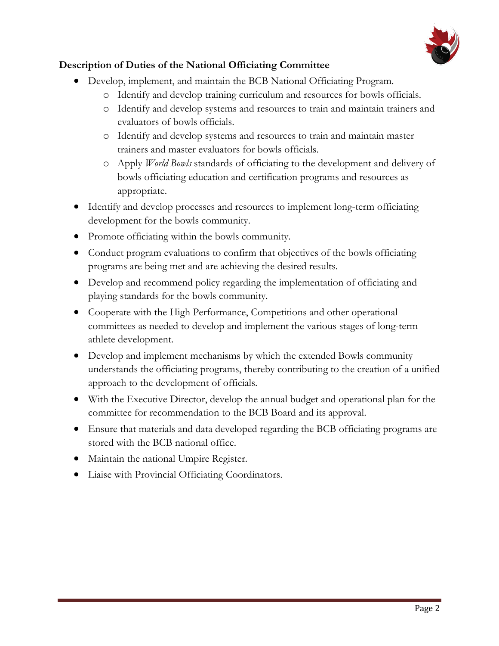

#### **Description of Duties of the National Officiating Committee**

- Develop, implement, and maintain the BCB National Officiating Program.
	- o Identify and develop training curriculum and resources for bowls officials.
	- o Identify and develop systems and resources to train and maintain trainers and evaluators of bowls officials.
	- o Identify and develop systems and resources to train and maintain master trainers and master evaluators for bowls officials.
	- o Apply *World Bowls* standards of officiating to the development and delivery of bowls officiating education and certification programs and resources as appropriate.
- Identify and develop processes and resources to implement long-term officiating development for the bowls community.
- Promote officiating within the bowls community.
- Conduct program evaluations to confirm that objectives of the bowls officiating programs are being met and are achieving the desired results.
- Develop and recommend policy regarding the implementation of officiating and playing standards for the bowls community.
- Cooperate with the High Performance, Competitions and other operational committees as needed to develop and implement the various stages of long-term athlete development.
- Develop and implement mechanisms by which the extended Bowls community understands the officiating programs, thereby contributing to the creation of a unified approach to the development of officials.
- With the Executive Director, develop the annual budget and operational plan for the committee for recommendation to the BCB Board and its approval.
- Ensure that materials and data developed regarding the BCB officiating programs are stored with the BCB national office.
- Maintain the national Umpire Register.
- Liaise with Provincial Officiating Coordinators.